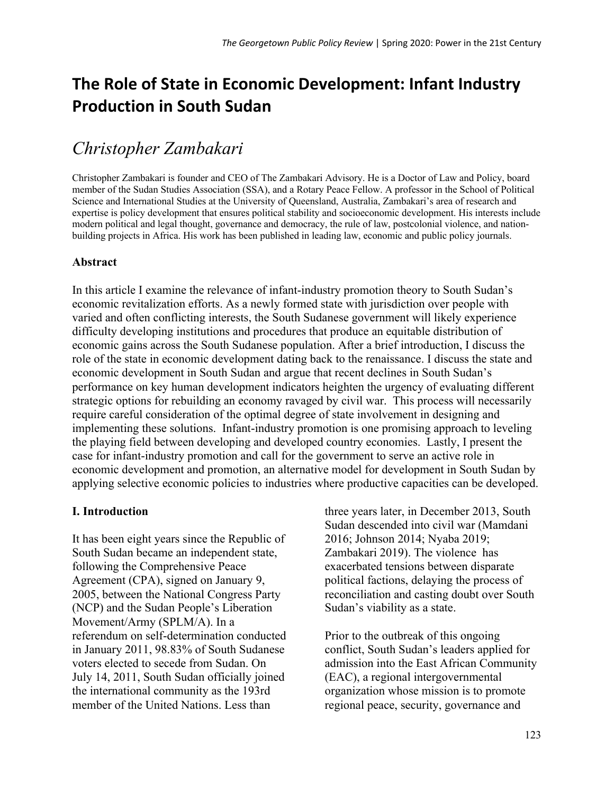# **The Role of State in Economic Development: Infant Industry Production in South Sudan**

# *Christopher Zambakari*

Christopher Zambakari is founder and CEO of The Zambakari Advisory. He is a Doctor of Law and Policy, board member of the Sudan Studies Association (SSA), and a Rotary Peace Fellow. A professor in the School of Political Science and International Studies at the University of Queensland, Australia, Zambakari's area of research and expertise is policy development that ensures political stability and socioeconomic development. His interests include modern political and legal thought, governance and democracy, the rule of law, postcolonial violence, and nationbuilding projects in Africa. His work has been published in leading law, economic and public policy journals.

## **Abstract**

In this article I examine the relevance of infant-industry promotion theory to South Sudan's economic revitalization efforts. As a newly formed state with jurisdiction over people with varied and often conflicting interests, the South Sudanese government will likely experience difficulty developing institutions and procedures that produce an equitable distribution of economic gains across the South Sudanese population. After a brief introduction, I discuss the role of the state in economic development dating back to the renaissance. I discuss the state and economic development in South Sudan and argue that recent declines in South Sudan's performance on key human development indicators heighten the urgency of evaluating different strategic options for rebuilding an economy ravaged by civil war. This process will necessarily require careful consideration of the optimal degree of state involvement in designing and implementing these solutions. Infant-industry promotion is one promising approach to leveling the playing field between developing and developed country economies. Lastly, I present the case for infant-industry promotion and call for the government to serve an active role in economic development and promotion, an alternative model for development in South Sudan by applying selective economic policies to industries where productive capacities can be developed.

## **I. Introduction**

It has been eight years since the Republic of South Sudan became an independent state, following the Comprehensive Peace Agreement (CPA), signed on January 9, 2005, between the National Congress Party (NCP) and the Sudan People's Liberation Movement/Army (SPLM/A). In a referendum on self-determination conducted in January 2011, 98.83% of South Sudanese voters elected to secede from Sudan. On July 14, 2011, South Sudan officially joined the international community as the 193rd member of the United Nations. Less than

three years later, in December 2013, South Sudan descended into civil war (Mamdani 2016; Johnson 2014; Nyaba 2019; Zambakari 2019). The violence has exacerbated tensions between disparate political factions, delaying the process of reconciliation and casting doubt over South Sudan's viability as a state.

Prior to the outbreak of this ongoing conflict, South Sudan's leaders applied for admission into the East African Community (EAC), a regional intergovernmental organization whose mission is to promote regional peace, security, governance and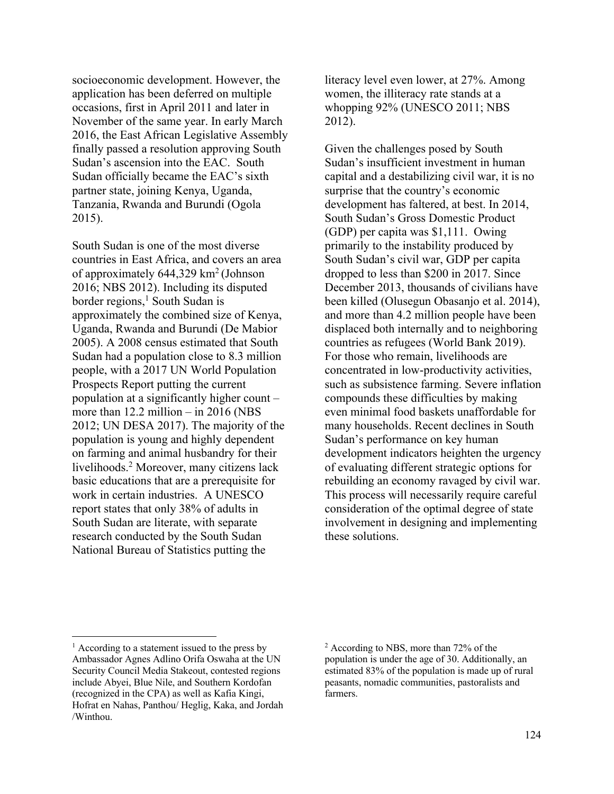socioeconomic development. However, the application has been deferred on multiple occasions, first in April 2011 and later in November of the same year. In early March 2016, the East African Legislative Assembly finally passed a resolution approving South Sudan's ascension into the EAC. South Sudan officially became the EAC's sixth partner state, joining Kenya, Uganda, Tanzania, Rwanda and Burundi (Ogola 2015).

South Sudan is one of the most diverse countries in East Africa, and covers an area of approximately  $644,329 \text{ km}^2$  (Johnson 2016; NBS 2012). Including its disputed border regions,<sup>1</sup> South Sudan is approximately the combined size of Kenya, Uganda, Rwanda and Burundi (De Mabior 2005). A 2008 census estimated that South Sudan had a population close to 8.3 million people, with a 2017 UN World Population Prospects Report putting the current population at a significantly higher count – more than  $12.2$  million – in  $2016$  (NBS) 2012; UN DESA 2017). The majority of the population is young and highly dependent on farming and animal husbandry for their livelihoods.2 Moreover, many citizens lack basic educations that are a prerequisite for work in certain industries. A UNESCO report states that only 38% of adults in South Sudan are literate, with separate research conducted by the South Sudan National Bureau of Statistics putting the

literacy level even lower, at 27%. Among women, the illiteracy rate stands at a whopping  $92\%$  (UNESCO 2011; NBS 2012).

Given the challenges posed by South Sudan's insufficient investment in human capital and a destabilizing civil war, it is no surprise that the country's economic development has faltered, at best. In 2014, South Sudan's Gross Domestic Product (GDP) per capita was \$1,111. Owing primarily to the instability produced by South Sudan's civil war, GDP per capita dropped to less than \$200 in 2017. Since December 2013, thousands of civilians have been killed (Olusegun Obasanjo et al. 2014), and more than 4.2 million people have been displaced both internally and to neighboring countries as refugees (World Bank 2019). For those who remain, livelihoods are concentrated in low-productivity activities, such as subsistence farming. Severe inflation compounds these difficulties by making even minimal food baskets unaffordable for many households. Recent declines in South Sudan's performance on key human development indicators heighten the urgency of evaluating different strategic options for rebuilding an economy ravaged by civil war. This process will necessarily require careful consideration of the optimal degree of state involvement in designing and implementing these solutions.

 $<sup>1</sup>$  According to a statement issued to the press by</sup> Ambassador Agnes Adlino Orifa Oswaha at the UN Security Council Media Stakeout, contested regions include Abyei, Blue Nile, and Southern Kordofan (recognized in the CPA) as well as Kafia Kingi, Hofrat en Nahas, Panthou/ Heglig, Kaka, and Jordah /Winthou.

<sup>2</sup> According to NBS, more than 72% of the population is under the age of 30. Additionally, an estimated 83% of the population is made up of rural peasants, nomadic communities, pastoralists and farmers.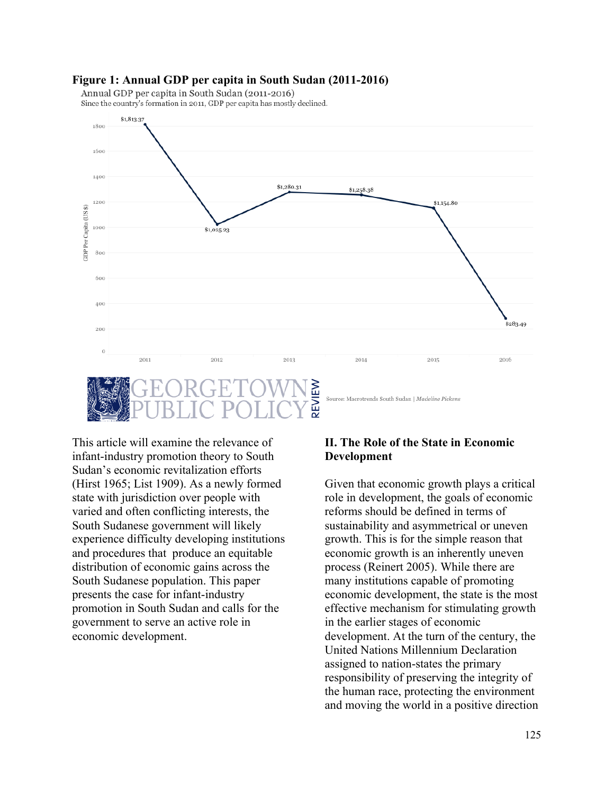#### **Figure 1: Annual GDP per capita in South Sudan (2011-2016)**

Annual GDP per capita in South Sudan (2011-2016)

Since the country's formation in 2011, GDP per capita has mostly declined.



This article will examine the relevance of infant-industry promotion theory to South Sudan's economic revitalization efforts (Hirst 1965; List 1909). As a newly formed state with jurisdiction over people with varied and often conflicting interests, the South Sudanese government will likely experience difficulty developing institutions and procedures that produce an equitable distribution of economic gains across the South Sudanese population. This paper presents the case for infant-industry promotion in South Sudan and calls for the government to serve an active role in economic development.

## **II. The Role of the State in Economic Development**

Given that economic growth plays a critical role in development, the goals of economic reforms should be defined in terms of sustainability and asymmetrical or uneven growth. This is for the simple reason that economic growth is an inherently uneven process (Reinert 2005). While there are many institutions capable of promoting economic development, the state is the most effective mechanism for stimulating growth in the earlier stages of economic development. At the turn of the century, the United Nations Millennium Declaration assigned to nation-states the primary responsibility of preserving the integrity of the human race, protecting the environment and moving the world in a positive direction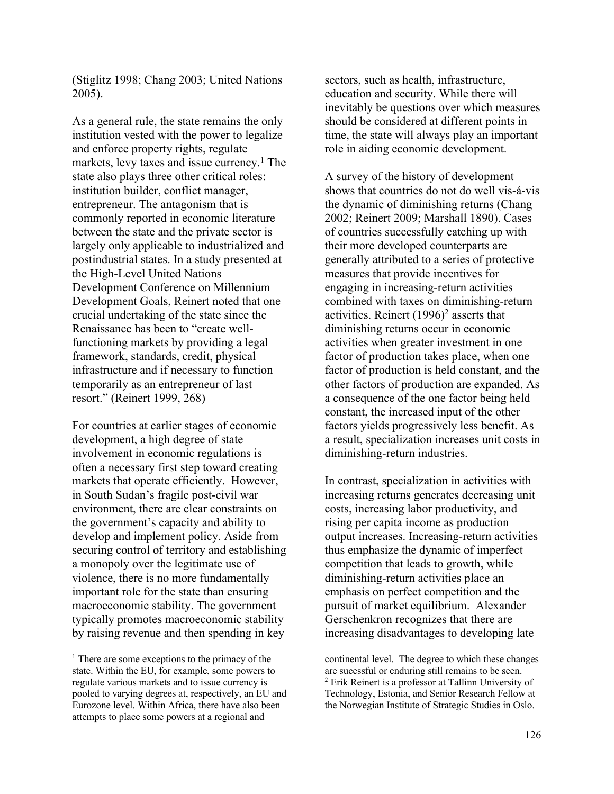(Stiglitz 1998; Chang 2003; United Nations 2005).

As a general rule, the state remains the only institution vested with the power to legalize and enforce property rights, regulate markets, levy taxes and issue currency.<sup>1</sup> The state also plays three other critical roles: institution builder, conflict manager, entrepreneur. The antagonism that is commonly reported in economic literature between the state and the private sector is largely only applicable to industrialized and postindustrial states. In a study presented at the High-Level United Nations Development Conference on Millennium Development Goals, Reinert noted that one crucial undertaking of the state since the Renaissance has been to "create wellfunctioning markets by providing a legal framework, standards, credit, physical infrastructure and if necessary to function temporarily as an entrepreneur of last resort." (Reinert 1999, 268)

For countries at earlier stages of economic development, a high degree of state involvement in economic regulations is often a necessary first step toward creating markets that operate efficiently. However, in South Sudan's fragile post-civil war environment, there are clear constraints on the government's capacity and ability to develop and implement policy. Aside from securing control of territory and establishing a monopoly over the legitimate use of violence, there is no more fundamentally important role for the state than ensuring macroeconomic stability. The government typically promotes macroeconomic stability by raising revenue and then spending in key

sectors, such as health, infrastructure, education and security. While there will inevitably be questions over which measures should be considered at different points in time, the state will always play an important role in aiding economic development.

A survey of the history of development shows that countries do not do well vis-á-vis the dynamic of diminishing returns (Chang 2002; Reinert 2009; Marshall 1890). Cases of countries successfully catching up with their more developed counterparts are generally attributed to a series of protective measures that provide incentives for engaging in increasing-return activities combined with taxes on diminishing-return activities. Reinert  $(1996)^2$  asserts that diminishing returns occur in economic activities when greater investment in one factor of production takes place, when one factor of production is held constant, and the other factors of production are expanded. As a consequence of the one factor being held constant, the increased input of the other factors yields progressively less benefit. As a result, specialization increases unit costs in diminishing-return industries.

In contrast, specialization in activities with increasing returns generates decreasing unit costs, increasing labor productivity, and rising per capita income as production output increases. Increasing-return activities thus emphasize the dynamic of imperfect competition that leads to growth, while diminishing-return activities place an emphasis on perfect competition and the pursuit of market equilibrium. Alexander Gerschenkron recognizes that there are increasing disadvantages to developing late

<sup>&</sup>lt;sup>1</sup> There are some exceptions to the primacy of the state. Within the EU, for example, some powers to regulate various markets and to issue currency is pooled to varying degrees at, respectively, an EU and Eurozone level. Within Africa, there have also been attempts to place some powers at a regional and

continental level. The degree to which these changes are sucessful or enduring still remains to be seen. 2 Erik Reinert is a professor at Tallinn University of Technology, Estonia, and Senior Research Fellow at the Norwegian Institute of Strategic Studies in Oslo.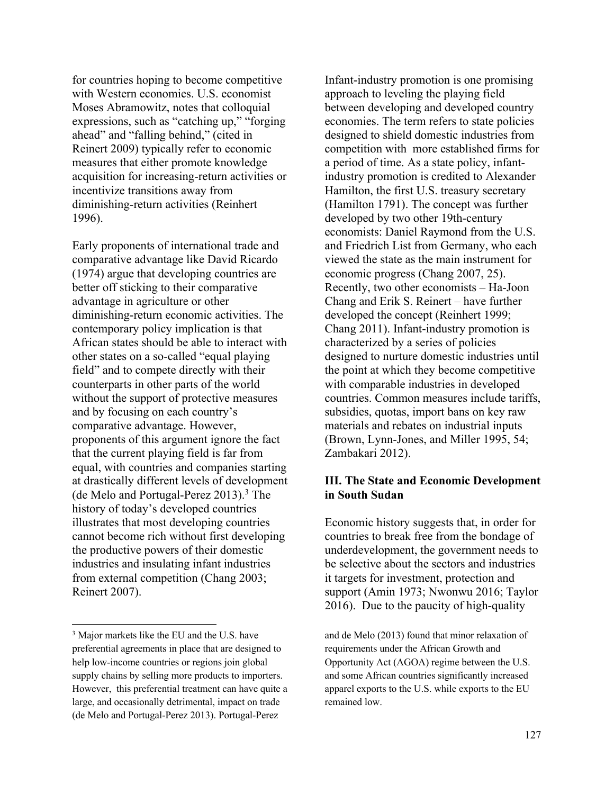for countries hoping to become competitive with Western economies. U.S. economist Moses Abramowitz, notes that colloquial expressions, such as "catching up," "forging ahead" and "falling behind," (cited in Reinert 2009) typically refer to economic measures that either promote knowledge acquisition for increasing-return activities or incentivize transitions away from diminishing-return activities (Reinhert 1996).

Early proponents of international trade and comparative advantage like David Ricardo (1974) argue that developing countries are better off sticking to their comparative advantage in agriculture or other diminishing-return economic activities. The contemporary policy implication is that African states should be able to interact with other states on a so-called "equal playing field" and to compete directly with their counterparts in other parts of the world without the support of protective measures and by focusing on each country's comparative advantage. However, proponents of this argument ignore the fact that the current playing field is far from equal, with countries and companies starting at drastically different levels of development (de Melo and Portugal-Perez  $2013$ ).<sup>3</sup> The history of today's developed countries illustrates that most developing countries cannot become rich without first developing the productive powers of their domestic industries and insulating infant industries from external competition (Chang 2003; Reinert 2007).

Infant-industry promotion is one promising approach to leveling the playing field between developing and developed country economies. The term refers to state policies designed to shield domestic industries from competition with more established firms for a period of time. As a state policy, infantindustry promotion is credited to Alexander Hamilton, the first U.S. treasury secretary (Hamilton 1791). The concept was further developed by two other 19th-century economists: Daniel Raymond from the U.S. and Friedrich List from Germany, who each viewed the state as the main instrument for economic progress (Chang 2007, 25). Recently, two other economists – Ha-Joon Chang and Erik S. Reinert – have further developed the concept (Reinhert 1999; Chang 2011). Infant-industry promotion is characterized by a series of policies designed to nurture domestic industries until the point at which they become competitive with comparable industries in developed countries. Common measures include tariffs, subsidies, quotas, import bans on key raw materials and rebates on industrial inputs (Brown, Lynn-Jones, and Miller 1995, 54; Zambakari 2012).

### **III. The State and Economic Development in South Sudan**

Economic history suggests that, in order for countries to break free from the bondage of underdevelopment, the government needs to be selective about the sectors and industries it targets for investment, protection and support (Amin 1973; Nwonwu 2016; Taylor 2016). Due to the paucity of high-quality

<sup>&</sup>lt;sup>3</sup> Major markets like the EU and the U.S. have preferential agreements in place that are designed to help low-income countries or regions join global supply chains by selling more products to importers. However, this preferential treatment can have quite a large, and occasionally detrimental, impact on trade (de Melo and Portugal-Perez 2013). Portugal-Perez

and de Melo (2013) found that minor relaxation of requirements under the African Growth and Opportunity Act (AGOA) regime between the U.S. and some African countries significantly increased apparel exports to the U.S. while exports to the EU remained low.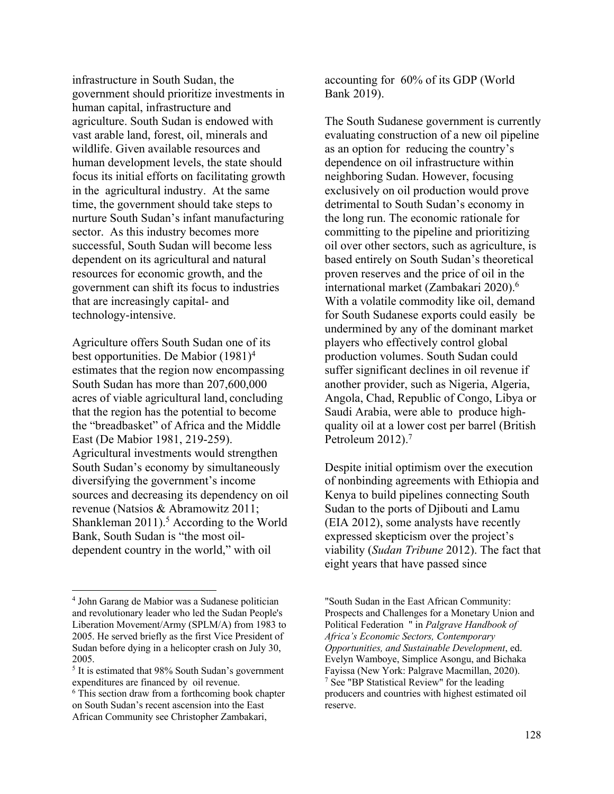infrastructure in South Sudan, the government should prioritize investments in human capital, infrastructure and agriculture. South Sudan is endowed with vast arable land, forest, oil, minerals and wildlife. Given available resources and human development levels, the state should focus its initial efforts on facilitating growth in the agricultural industry. At the same time, the government should take steps to nurture South Sudan's infant manufacturing sector. As this industry becomes more successful, South Sudan will become less dependent on its agricultural and natural resources for economic growth, and the government can shift its focus to industries that are increasingly capital- and technology-intensive.

Agriculture offers South Sudan one of its best opportunities. De Mabior (1981) 4 estimates that the region now encompassing South Sudan has more than 207,600,000 acres of viable agricultural land, concluding that the region has the potential to become the "breadbasket" of Africa and the Middle East (De Mabior 1981, 219-259). Agricultural investments would strengthen South Sudan's economy by simultaneously diversifying the government's income sources and decreasing its dependency on oil revenue (Natsios & Abramowitz 2011; Shankleman  $2011$ ).<sup>5</sup> According to the World Bank, South Sudan is "the most oildependent country in the world," with oil

accounting for 60% of its GDP (World Bank 2019).

The South Sudanese government is currently evaluating construction of a new oil pipeline as an option for reducing the country's dependence on oil infrastructure within neighboring Sudan. However, focusing exclusively on oil production would prove detrimental to South Sudan's economy in the long run. The economic rationale for committing to the pipeline and prioritizing oil over other sectors, such as agriculture, is based entirely on South Sudan's theoretical proven reserves and the price of oil in the international market (Zambakari 2020).6 With a volatile commodity like oil, demand for South Sudanese exports could easily be undermined by any of the dominant market players who effectively control global production volumes. South Sudan could suffer significant declines in oil revenue if another provider, such as Nigeria, Algeria, Angola, Chad, Republic of Congo, Libya or Saudi Arabia, were able to produce highquality oil at a lower cost per barrel (British Petroleum 2012).<sup>7</sup>

Despite initial optimism over the execution of nonbinding agreements with Ethiopia and Kenya to build pipelines connecting South Sudan to the ports of Djibouti and Lamu (EIA 2012), some analysts have recently expressed skepticism over the project's viability (*Sudan Tribune* 2012). The fact that eight years that have passed since

<sup>4</sup> John Garang de Mabior was a Sudanese politician and revolutionary leader who led the Sudan People's Liberation Movement/Army (SPLM/A) from 1983 to 2005. He served briefly as the first Vice President of Sudan before dying in a helicopter crash on July 30, 2005.

 $<sup>5</sup>$  It is estimated that 98% South Sudan's government</sup> expenditures are financed by oil revenue.<br><sup>6</sup> This section draw from a forthcoming book chapter

on South Sudan's recent ascension into the East African Community see Christopher Zambakari,

<sup>&</sup>quot;South Sudan in the East African Community: Prospects and Challenges for a Monetary Union and Political Federation " in *Palgrave Handbook of Africa's Economic Sectors, Contemporary Opportunities, and Sustainable Development*, ed. Evelyn Wamboye, Simplice Asongu, and Bichaka Fayissa (New York: Palgrave Macmillan, 2020). <sup>7</sup> See "BP Statistical Review" for the leading producers and countries with highest estimated oil reserve.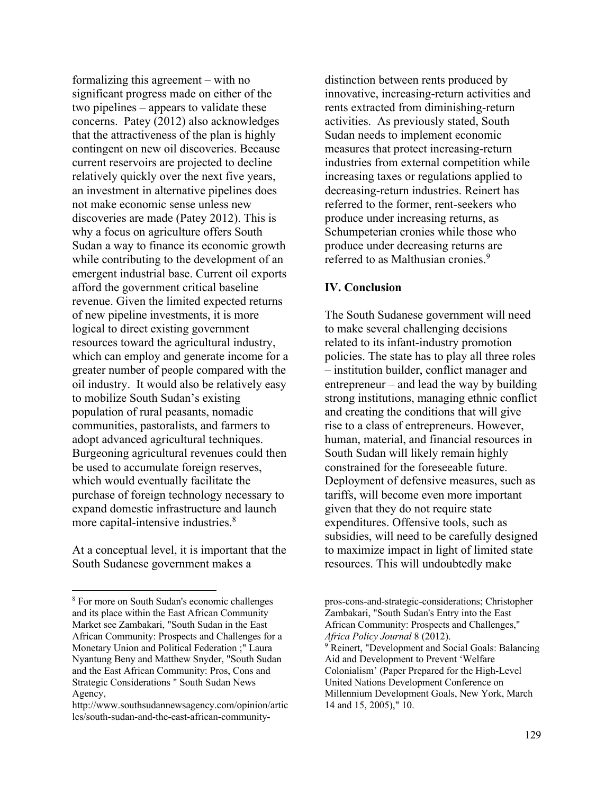formalizing this agreement – with no significant progress made on either of the two pipelines – appears to validate these concerns. Patey (2012) also acknowledges that the attractiveness of the plan is highly contingent on new oil discoveries. Because current reservoirs are projected to decline relatively quickly over the next five years, an investment in alternative pipelines does not make economic sense unless new discoveries are made (Patey 2012). This is why a focus on agriculture offers South Sudan a way to finance its economic growth while contributing to the development of an emergent industrial base. Current oil exports afford the government critical baseline revenue. Given the limited expected returns of new pipeline investments, it is more logical to direct existing government resources toward the agricultural industry, which can employ and generate income for a greater number of people compared with the oil industry. It would also be relatively easy to mobilize South Sudan's existing population of rural peasants, nomadic communities, pastoralists, and farmers to adopt advanced agricultural techniques. Burgeoning agricultural revenues could then be used to accumulate foreign reserves, which would eventually facilitate the purchase of foreign technology necessary to expand domestic infrastructure and launch more capital-intensive industries.<sup>8</sup>

At a conceptual level, it is important that the South Sudanese government makes a

distinction between rents produced by innovative, increasing-return activities and rents extracted from diminishing-return activities. As previously stated, South Sudan needs to implement economic measures that protect increasing-return industries from external competition while increasing taxes or regulations applied to decreasing-return industries. Reinert has referred to the former, rent-seekers who produce under increasing returns, as Schumpeterian cronies while those who produce under decreasing returns are referred to as Malthusian cronies.<sup>9</sup>

## **IV. Conclusion**

The South Sudanese government will need to make several challenging decisions related to its infant-industry promotion policies. The state has to play all three roles – institution builder, conflict manager and entrepreneur – and lead the way by building strong institutions, managing ethnic conflict and creating the conditions that will give rise to a class of entrepreneurs. However, human, material, and financial resources in South Sudan will likely remain highly constrained for the foreseeable future. Deployment of defensive measures, such as tariffs, will become even more important given that they do not require state expenditures. Offensive tools, such as subsidies, will need to be carefully designed to maximize impact in light of limited state resources. This will undoubtedly make

<sup>8</sup> For more on South Sudan's economic challenges and its place within the East African Community Market see Zambakari, "South Sudan in the East African Community: Prospects and Challenges for a Monetary Union and Political Federation ;" Laura Nyantung Beny and Matthew Snyder, "South Sudan and the East African Community: Pros, Cons and Strategic Considerations " South Sudan News Agency,

http://www.southsudannewsagency.com/opinion/artic les/south-sudan-and-the-east-african-community-

pros-cons-and-strategic-considerations; Christopher Zambakari, "South Sudan's Entry into the East African Community: Prospects and Challenges," *Africa Policy Journal* 8 (2012). <sup>9</sup> Reinert, "Development and Social Goals: Balancing Aid and Development to Prevent 'Welfare Colonialism' (Paper Prepared for the High-Level United Nations Development Conference on Millennium Development Goals, New York, March 14 and 15, 2005)," 10.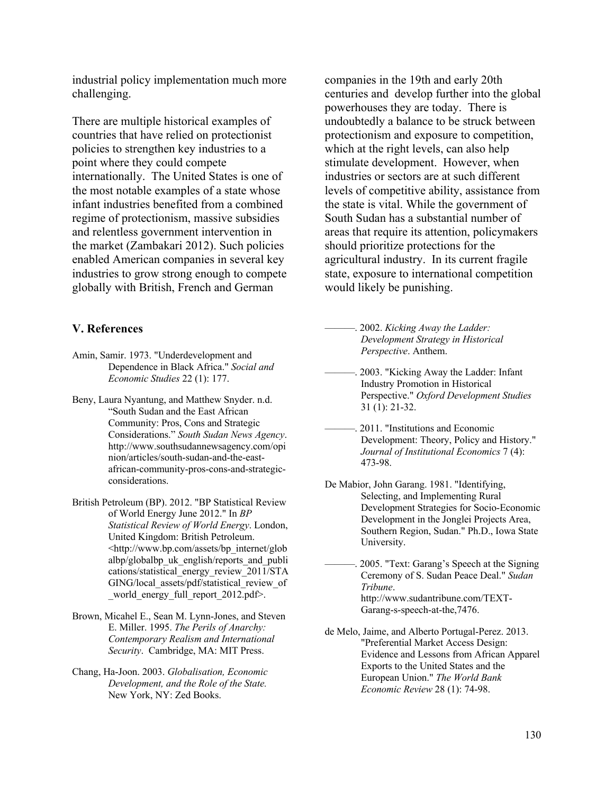industrial policy implementation much more challenging.

There are multiple historical examples of countries that have relied on protectionist policies to strengthen key industries to a point where they could compete internationally. The United States is one of the most notable examples of a state whose infant industries benefited from a combined regime of protectionism, massive subsidies and relentless government intervention in the market (Zambakari 2012). Such policies enabled American companies in several key industries to grow strong enough to compete globally with British, French and German

### **V. References**

- Amin, Samir. 1973. "Underdevelopment and Dependence in Black Africa." *Social and Economic Studies* 22 (1): 177.
- Beny, Laura Nyantung, and Matthew Snyder. n.d. "South Sudan and the East African Community: Pros, Cons and Strategic Considerations." *South Sudan News Agency*. http://www.southsudannewsagency.com/opi nion/articles/south-sudan-and-the-eastafrican-community-pros-cons-and-strategicconsiderations.
- British Petroleum (BP). 2012. "BP Statistical Review of World Energy June 2012." In *BP Statistical Review of World Energy*. London, United Kingdom: British Petroleum. <http://www.bp.com/assets/bp\_internet/glob albp/globalbp\_uk\_english/reports\_and\_publi cations/statistical\_energy\_review\_2011/STA GING/local assets/pdf/statistical review of world energy full report 2012.pdf>.
- Brown, Micahel E., Sean M. Lynn-Jones, and Steven E. Miller. 1995. *The Perils of Anarchy: Contemporary Realism and International Security*. Cambridge, MA: MIT Press.
- Chang, Ha-Joon. 2003. *Globalisation, Economic Development, and the Role of the State.* New York, NY: Zed Books.

companies in the 19th and early 20th centuries and develop further into the global powerhouses they are today. There is undoubtedly a balance to be struck between protectionism and exposure to competition, which at the right levels, can also help stimulate development. However, when industries or sectors are at such different levels of competitive ability, assistance from the state is vital. While the government of South Sudan has a substantial number of areas that require its attention, policymakers should prioritize protections for the agricultural industry. In its current fragile state, exposure to international competition would likely be punishing.

———. 2002. *Kicking Away the Ladder: Development Strategy in Historical Perspective*. Anthem.

- 2003. "Kicking Away the Ladder: Infant Industry Promotion in Historical Perspective." *Oxford Development Studies*  31 (1): 21-32.
- ———. 2011. "Institutions and Economic Development: Theory, Policy and History." *Journal of Institutional Economics* 7 (4): 473-98.
- De Mabior, John Garang. 1981. "Identifying, Selecting, and Implementing Rural Development Strategies for Socio-Economic Development in the Jonglei Projects Area, Southern Region, Sudan." Ph.D., Iowa State University.

2005. "Text: Garang's Speech at the Signing Ceremony of S. Sudan Peace Deal." *Sudan Tribune*. http://www.sudantribune.com/TEXT-Garang-s-speech-at-the,7476.

de Melo, Jaime, and Alberto Portugal-Perez. 2013. "Preferential Market Access Design: Evidence and Lessons from African Apparel Exports to the United States and the European Union." *The World Bank Economic Review* 28 (1): 74-98.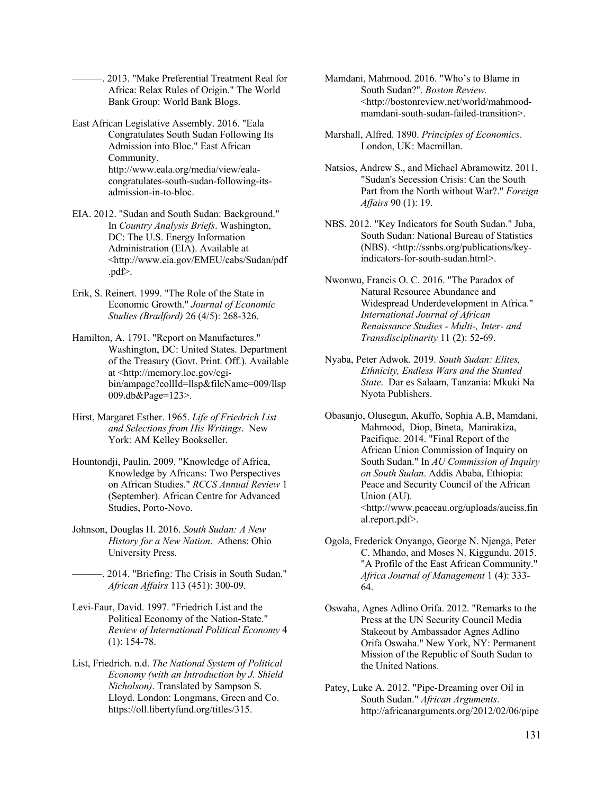-. 2013. "Make Preferential Treatment Real for Africa: Relax Rules of Origin." The World Bank Group: World Bank Blogs.

- East African Legislative Assembly. 2016. "Eala Congratulates South Sudan Following Its Admission into Bloc." East African Community. http://www.eala.org/media/view/ealacongratulates-south-sudan-following-itsadmission-in-to-bloc.
- EIA. 2012. "Sudan and South Sudan: Background." In *Country Analysis Briefs*. Washington, DC: The U.S. Energy Information Administration (EIA). Available at <http://www.eia.gov/EMEU/cabs/Sudan/pdf .pdf>.
- Erik, S. Reinert. 1999. "The Role of the State in Economic Growth." *Journal of Economic Studies (Bradford)* 26 (4/5): 268-326.
- Hamilton, A. 1791. "Report on Manufactures." Washington, DC: United States. Department of the Treasury (Govt. Print. Off.). Available at <http://memory.loc.gov/cgibin/ampage?collId=llsp&fileName=009/llsp 009.db&Page=123>.
- Hirst, Margaret Esther. 1965. *Life of Friedrich List and Selections from His Writings*. New York: AM Kelley Bookseller.
- Hountondji, Paulin. 2009. "Knowledge of Africa, Knowledge by Africans: Two Perspectives on African Studies." *RCCS Annual Review* 1 (September). African Centre for Advanced Studies, Porto-Novo.
- Johnson, Douglas H. 2016. *South Sudan: A New History for a New Nation*. Athens: Ohio University Press.
	- . 2014. "Briefing: The Crisis in South Sudan." *African Affairs* 113 (451): 300-09.
- Levi-Faur, David. 1997. "Friedrich List and the Political Economy of the Nation-State." *Review of International Political Economy* 4 (1): 154-78.
- List, Friedrich. n.d. *The National System of Political Economy (with an Introduction by J. Shield Nicholson)*. Translated by Sampson S. Lloyd. London: Longmans, Green and Co. https://oll.libertyfund.org/titles/315.
- Mamdani, Mahmood. 2016. "Who's to Blame in South Sudan?". *Boston Review.*  <http://bostonreview.net/world/mahmoodmamdani-south-sudan-failed-transition>.
- Marshall, Alfred. 1890. *Principles of Economics*. London, UK: Macmillan.
- Natsios, Andrew S., and Michael Abramowitz. 2011. "Sudan's Secession Crisis: Can the South Part from the North without War?." *Foreign Affairs* 90 (1): 19.
- NBS. 2012. "Key Indicators for South Sudan." Juba, South Sudan: National Bureau of Statistics (NBS). <http://ssnbs.org/publications/keyindicators-for-south-sudan.html>.
- Nwonwu, Francis O. C. 2016. "The Paradox of Natural Resource Abundance and Widespread Underdevelopment in Africa." *International Journal of African Renaissance Studies - Multi-, Inter- and Transdisciplinarity* 11 (2): 52-69.
- Nyaba, Peter Adwok. 2019. *South Sudan: Elites, Ethnicity, Endless Wars and the Stunted State*. Dar es Salaam, Tanzania: Mkuki Na Nyota Publishers.
- Obasanjo, Olusegun, Akuffo, Sophia A.B, Mamdani, Mahmood, Diop, Bineta, Manirakiza, Pacifique. 2014. "Final Report of the African Union Commission of Inquiry on South Sudan." In *AU Commission of Inquiry on South Sudan*. Addis Ababa, Ethiopia: Peace and Security Council of the African Union (AU). <http://www.peaceau.org/uploads/auciss.fin al.report.pdf>.
- Ogola, Frederick Onyango, George N. Njenga, Peter C. Mhando, and Moses N. Kiggundu. 2015. "A Profile of the East African Community." *Africa Journal of Management* 1 (4): 333- 64.
- Oswaha, Agnes Adlino Orifa. 2012. "Remarks to the Press at the UN Security Council Media Stakeout by Ambassador Agnes Adlino Orifa Oswaha." New York, NY: Permanent Mission of the Republic of South Sudan to the United Nations.
- Patey, Luke A. 2012. "Pipe-Dreaming over Oil in South Sudan." *African Arguments*. http://africanarguments.org/2012/02/06/pipe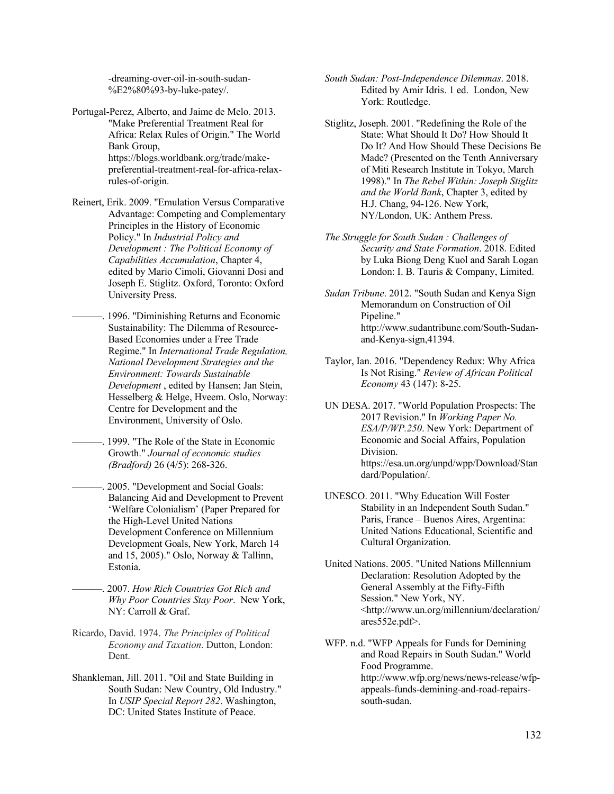-dreaming-over-oil-in-south-sudan- %E2%80%93-by-luke-patey/.

- Portugal-Perez, Alberto, and Jaime de Melo. 2013. "Make Preferential Treatment Real for Africa: Relax Rules of Origin." The World Bank Group, https://blogs.worldbank.org/trade/makepreferential-treatment-real-for-africa-relaxrules-of-origin.
- Reinert, Erik. 2009. "Emulation Versus Comparative Advantage: Competing and Complementary Principles in the History of Economic Policy." In *Industrial Policy and Development : The Political Economy of Capabilities Accumulation*, Chapter 4, edited by Mario Cimoli, Giovanni Dosi and Joseph E. Stiglitz. Oxford, Toronto: Oxford University Press.
- 1996. "Diminishing Returns and Economic Sustainability: The Dilemma of Resource-Based Economies under a Free Trade Regime." In *International Trade Regulation, National Development Strategies and the Environment: Towards Sustainable Development* , edited by Hansen; Jan Stein, Hesselberg & Helge, Hveem. Oslo, Norway: Centre for Development and the Environment, University of Oslo.
	- ———. 1999. "The Role of the State in Economic Growth." *Journal of economic studies (Bradford)* 26 (4/5): 268-326.
	- 2005. "Development and Social Goals: Balancing Aid and Development to Prevent 'Welfare Colonialism' (Paper Prepared for the High-Level United Nations Development Conference on Millennium Development Goals, New York, March 14 and 15, 2005)." Oslo, Norway & Tallinn, Estonia.
	- ———. 2007. *How Rich Countries Got Rich and Why Poor Countries Stay Poor*. New York, NY: Carroll & Graf.
- Ricardo, David. 1974. *The Principles of Political Economy and Taxation*. Dutton, London: Dent.
- Shankleman, Jill. 2011. "Oil and State Building in South Sudan: New Country, Old Industry." In *USIP Special Report 282*. Washington, DC: United States Institute of Peace.
- *South Sudan: Post-Independence Dilemmas*. 2018. Edited by Amir Idris. 1 ed. London, New York: Routledge.
- Stiglitz, Joseph. 2001. "Redefining the Role of the State: What Should It Do? How Should It Do It? And How Should These Decisions Be Made? (Presented on the Tenth Anniversary of Miti Research Institute in Tokyo, March 1998)." In *The Rebel Within: Joseph Stiglitz and the World Bank*, Chapter 3, edited by H.J. Chang, 94-126. New York, NY/London, UK: Anthem Press.
- *The Struggle for South Sudan : Challenges of Security and State Formation*. 2018. Edited by Luka Biong Deng Kuol and Sarah Logan London: I. B. Tauris & Company, Limited.
- *Sudan Tribune*. 2012. "South Sudan and Kenya Sign Memorandum on Construction of Oil Pipeline." http://www.sudantribune.com/South-Sudanand-Kenya-sign,41394.
- Taylor, Ian. 2016. "Dependency Redux: Why Africa Is Not Rising." *Review of African Political Economy* 43 (147): 8-25.
- UN DESA. 2017. "World Population Prospects: The 2017 Revision." In *Working Paper No. ESA/P/WP.250*. New York: Department of Economic and Social Affairs, Population Division. https://esa.un.org/unpd/wpp/Download/Stan dard/Population/.
- UNESCO. 2011. "Why Education Will Foster Stability in an Independent South Sudan." Paris, France – Buenos Aires, Argentina: United Nations Educational, Scientific and Cultural Organization.
- United Nations. 2005. "United Nations Millennium Declaration: Resolution Adopted by the General Assembly at the Fifty-Fifth Session." New York, NY. <http://www.un.org/millennium/declaration/ ares552e.pdf>.
- WFP. n.d. "WFP Appeals for Funds for Demining and Road Repairs in South Sudan." World Food Programme. http://www.wfp.org/news/news-release/wfpappeals-funds-demining-and-road-repairssouth-sudan.